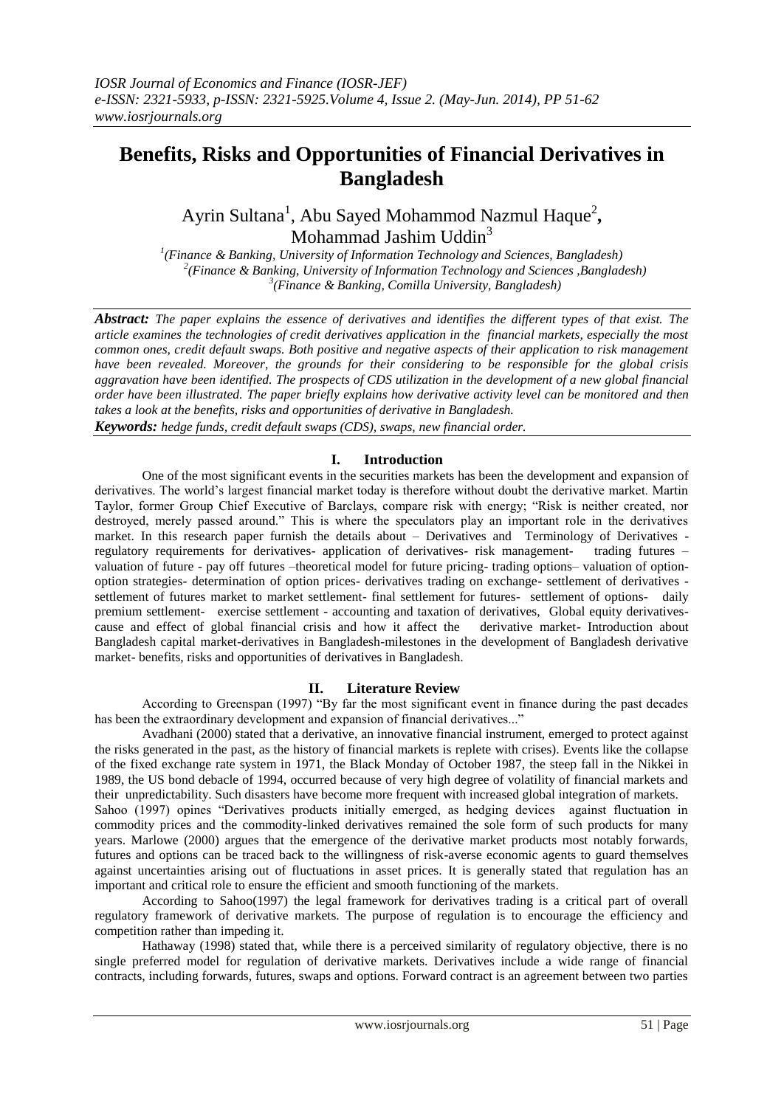# **Benefits, Risks and Opportunities of Financial Derivatives in Bangladesh**

Ayrin Sultana<sup>1</sup>, Abu Sayed Mohammod Nazmul Haque<sup>2</sup>, Mohammad Jashim Uddin<sup>3</sup>

*1 (Finance & Banking, University of Information Technology and Sciences, Bangladesh) 2 (Finance & Banking, University of Information Technology and Sciences ,Bangladesh) 3 (Finance & Banking, Comilla University, Bangladesh)*

*Abstract: The paper explains the essence of derivatives and identifies the different types of that exist. The article examines the technologies of credit derivatives application in the financial markets, especially the most common ones, credit default swaps. Both positive and negative aspects of their application to risk management have been revealed. Moreover, the grounds for their considering to be responsible for the global crisis aggravation have been identified. The prospects of CDS utilization in the development of a new global financial order have been illustrated. The paper briefly explains how derivative activity level can be monitored and then takes a look at the benefits, risks and opportunities of derivative in Bangladesh.* 

*Keywords: hedge funds, credit default swaps (CDS), swaps, new financial order.*

# **I. Introduction**

One of the most significant events in the securities markets has been the development and expansion of derivatives. The world's largest financial market today is therefore without doubt the derivative market. Martin Taylor, former Group Chief Executive of Barclays, compare risk with energy; "Risk is neither created, nor destroyed, merely passed around." This is where the speculators play an important role in the derivatives market. In this research paper furnish the details about – Derivatives and Terminology of Derivatives regulatory requirements for derivatives- application of derivatives- risk management- trading futures – valuation of future - pay off futures –theoretical model for future pricing- trading options– valuation of optionoption strategies- determination of option prices- derivatives trading on exchange- settlement of derivatives settlement of futures market to market settlement- final settlement for futures- settlement of options- daily premium settlement- exercise settlement - accounting and taxation of derivatives, Global equity derivativescause and effect of global financial crisis and how it affect the derivative market- Introduction about Bangladesh capital market-derivatives in Bangladesh-milestones in the development of Bangladesh derivative market- benefits, risks and opportunities of derivatives in Bangladesh.

## **II. Literature Review**

According to Greenspan  $(1997)$  "By far the most significant event in finance during the past decades has been the extraordinary development and expansion of financial derivatives..."

Avadhani (2000) stated that a derivative, an innovative financial instrument, emerged to protect against the risks generated in the past, as the history of financial markets is replete with crises). Events like the collapse of the fixed exchange rate system in 1971, the Black Monday of October 1987, the steep fall in the Nikkei in 1989, the US bond debacle of 1994, occurred because of very high degree of volatility of financial markets and their unpredictability. Such disasters have become more frequent with increased global integration of markets.

Sahoo (1997) opines "Derivatives products initially emerged, as hedging devices against fluctuation in commodity prices and the commodity-linked derivatives remained the sole form of such products for many years. Marlowe (2000) argues that the emergence of the derivative market products most notably forwards, futures and options can be traced back to the willingness of risk-averse economic agents to guard themselves against uncertainties arising out of fluctuations in asset prices. It is generally stated that regulation has an important and critical role to ensure the efficient and smooth functioning of the markets.

According to Sahoo(1997) the legal framework for derivatives trading is a critical part of overall regulatory framework of derivative markets. The purpose of regulation is to encourage the efficiency and competition rather than impeding it.

Hathaway (1998) stated that, while there is a perceived similarity of regulatory objective, there is no single preferred model for regulation of derivative markets. Derivatives include a wide range of financial contracts, including forwards, futures, swaps and options. Forward contract is an agreement between two parties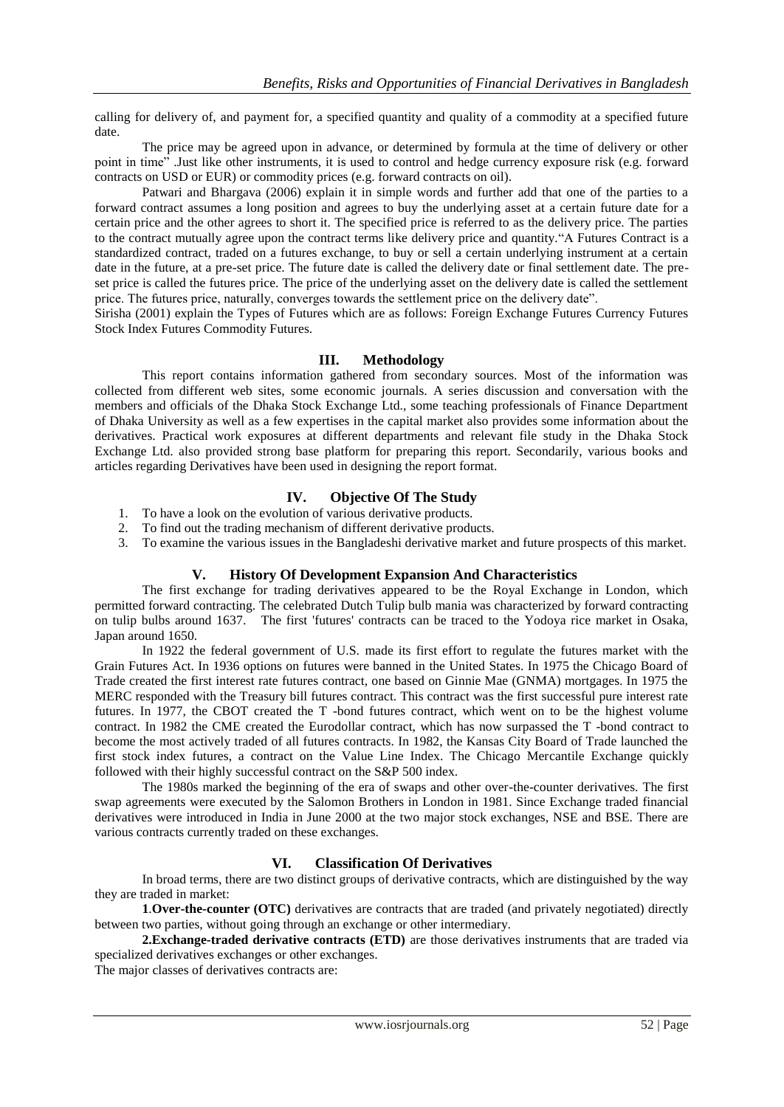calling for delivery of, and payment for, a specified quantity and quality of a commodity at a specified future date.

The price may be agreed upon in advance, or determined by formula at the time of delivery or other point in time". Just like other instruments, it is used to control and hedge currency exposure risk (e.g. forward contracts on USD or EUR) or commodity prices (e.g. forward contracts on oil).

Patwari and Bhargava (2006) explain it in simple words and further add that one of the parties to a forward contract assumes a long position and agrees to buy the underlying asset at a certain future date for a certain price and the other agrees to short it. The specified price is referred to as the delivery price. The parties to the contract mutually agree upon the contract terms like delivery price and quantity."A Futures Contract is a standardized contract, traded on a futures exchange, to buy or sell a certain underlying instrument at a certain date in the future, at a pre-set price. The future date is called the delivery date or final settlement date. The preset price is called the futures price. The price of the underlying asset on the delivery date is called the settlement price. The futures price, naturally, converges towards the settlement price on the delivery date".

Sirisha (2001) explain the Types of Futures which are as follows: Foreign Exchange Futures Currency Futures Stock Index Futures Commodity Futures.

# **III. Methodology**

This report contains information gathered from secondary sources. Most of the information was collected from different web sites, some economic journals. A series discussion and conversation with the members and officials of the Dhaka Stock Exchange Ltd., some teaching professionals of Finance Department of Dhaka University as well as a few expertises in the capital market also provides some information about the derivatives. Practical work exposures at different departments and relevant file study in the Dhaka Stock Exchange Ltd. also provided strong base platform for preparing this report. Secondarily, various books and articles regarding Derivatives have been used in designing the report format.

# **IV. Objective Of The Study**

- 1. To have a look on the evolution of various derivative products.
- 2. To find out the trading mechanism of different derivative products.
- 3. To examine the various issues in the Bangladeshi derivative market and future prospects of this market.

## **V. History Of Development Expansion And Characteristics**

The first exchange for trading derivatives appeared to be the Royal Exchange in London, which permitted forward contracting. The celebrated Dutch Tulip bulb mania was characterized by forward contracting on tulip bulbs around 1637. The first 'futures' contracts can be traced to the Yodoya rice market in Osaka, Japan around 1650.

In 1922 the federal government of U.S. made its first effort to regulate the futures market with the Grain Futures Act. In 1936 options on futures were banned in the United States. In 1975 the Chicago Board of Trade created the first interest rate futures contract, one based on Ginnie Mae (GNMA) mortgages. In 1975 the MERC responded with the Treasury bill futures contract. This contract was the first successful pure interest rate futures. In 1977, the CBOT created the T -bond futures contract, which went on to be the highest volume contract. In 1982 the CME created the Eurodollar contract, which has now surpassed the T -bond contract to become the most actively traded of all futures contracts. In 1982, the Kansas City Board of Trade launched the first stock index futures, a contract on the Value Line Index. The Chicago Mercantile Exchange quickly followed with their highly successful contract on the S&P 500 index.

The 1980s marked the beginning of the era of swaps and other over-the-counter derivatives. The first swap agreements were executed by the Salomon Brothers in London in 1981. Since Exchange traded financial derivatives were introduced in India in June 2000 at the two major stock exchanges, NSE and BSE. There are various contracts currently traded on these exchanges.

## **VI. Classification Of Derivatives**

In broad terms, there are two distinct groups of derivative contracts, which are distinguished by the way they are traded in market:

 **1**.**Over-the-counter (OTC)** derivatives are contracts that are traded (and privately negotiated) directly between two parties, without going through an exchange or other intermediary.

## **2.Exchange-traded derivative contracts (ETD)** are those derivatives instruments that are traded via specialized derivatives exchanges or other exchanges.

The major classes of derivatives contracts are: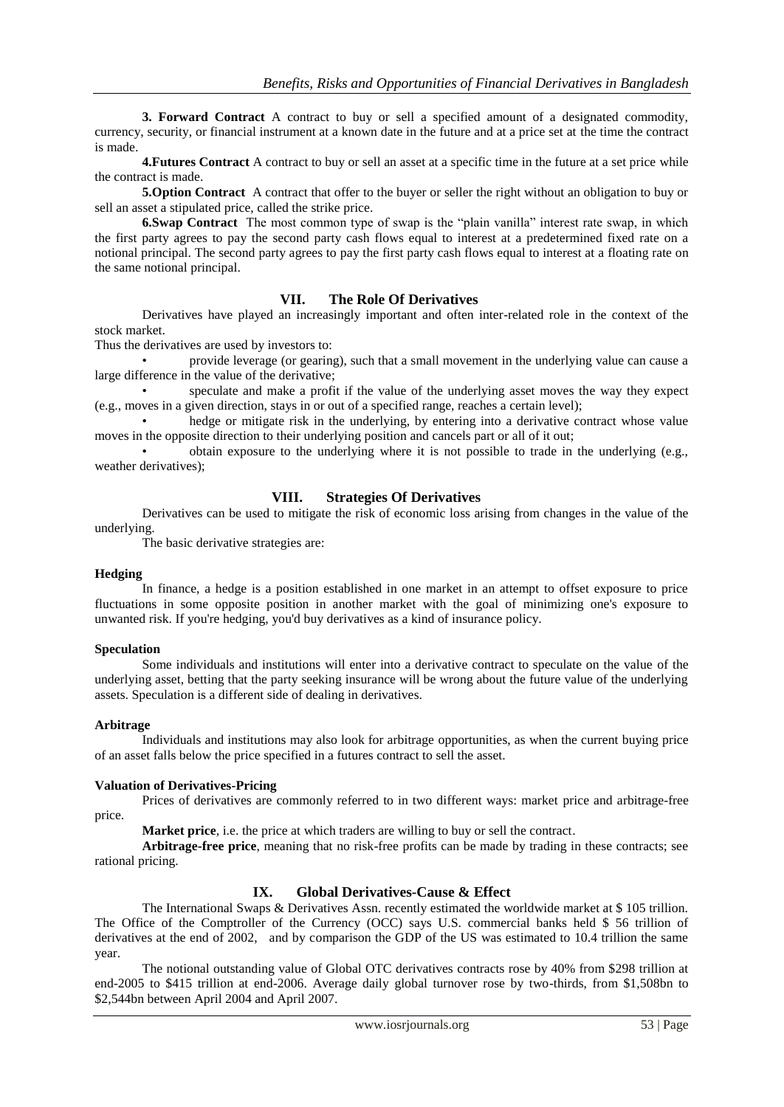**3. Forward Contract** A contract to buy or sell a specified amount of a designated commodity, currency, security, or financial instrument at a known date in the future and at a price set at the time the contract is made.

**4.Futures Contract** A contract to buy or sell an asset at a specific time in the future at a set price while the contract is made.

**5.Option Contract** A contract that offer to the buyer or seller the right without an obligation to buy or sell an asset a stipulated price, called the strike price.

**6.Swap Contract** The most common type of swap is the "plain vanilla" interest rate swap, in which the first party agrees to pay the second party cash flows equal to interest at a predetermined fixed rate on a notional principal. The second party agrees to pay the first party cash flows equal to interest at a floating rate on the same notional principal.

#### **VII. The Role Of Derivatives**

Derivatives have played an increasingly important and often inter-related role in the context of the stock market.

Thus the derivatives are used by investors to:

• provide leverage (or gearing), such that a small movement in the underlying value can cause a large difference in the value of the derivative;

• speculate and make a profit if the value of the underlying asset moves the way they expect (e.g., moves in a given direction, stays in or out of a specified range, reaches a certain level);

hedge or mitigate risk in the underlying, by entering into a derivative contract whose value moves in the opposite direction to their underlying position and cancels part or all of it out;

• obtain exposure to the underlying where it is not possible to trade in the underlying (e.g., weather derivatives);

## **VIII. Strategies Of Derivatives**

Derivatives can be used to mitigate the risk of economic loss arising from changes in the value of the underlying.

The basic derivative strategies are:

#### **Hedging**

In finance, a hedge is a position established in one market in an attempt to offset exposure to price fluctuations in some opposite position in another market with the goal of minimizing one's exposure to unwanted risk. If you're hedging, you'd buy derivatives as a kind of insurance policy.

#### **Speculation**

Some individuals and institutions will enter into a derivative contract to speculate on the value of the underlying asset, betting that the party seeking insurance will be wrong about the future value of the underlying assets. Speculation is a different side of dealing in derivatives.

#### **Arbitrage**

Individuals and institutions may also look for arbitrage opportunities, as when the current buying price of an asset falls below the price specified in a futures contract to sell the asset.

#### **Valuation of Derivatives-Pricing**

Prices of derivatives are commonly referred to in two different ways: market price and arbitrage-free price.

**Market price**, i.e. the price at which traders are willing to buy or sell the contract.

**Arbitrage-free price**, meaning that no risk-free profits can be made by trading in these contracts; see rational pricing.

## **IX. Global Derivatives-Cause & Effect**

The International Swaps & Derivatives Assn. recently estimated the worldwide market at \$ 105 trillion. The Office of the Comptroller of the Currency (OCC) says U.S. commercial banks held \$ 56 trillion of derivatives at the end of 2002, and by comparison the GDP of the US was estimated to 10.4 trillion the same year.

The notional outstanding value of Global OTC derivatives contracts rose by 40% from \$298 trillion at end-2005 to \$415 trillion at end-2006. Average daily global turnover rose by two-thirds, from \$1,508bn to \$2,544bn between April 2004 and April 2007.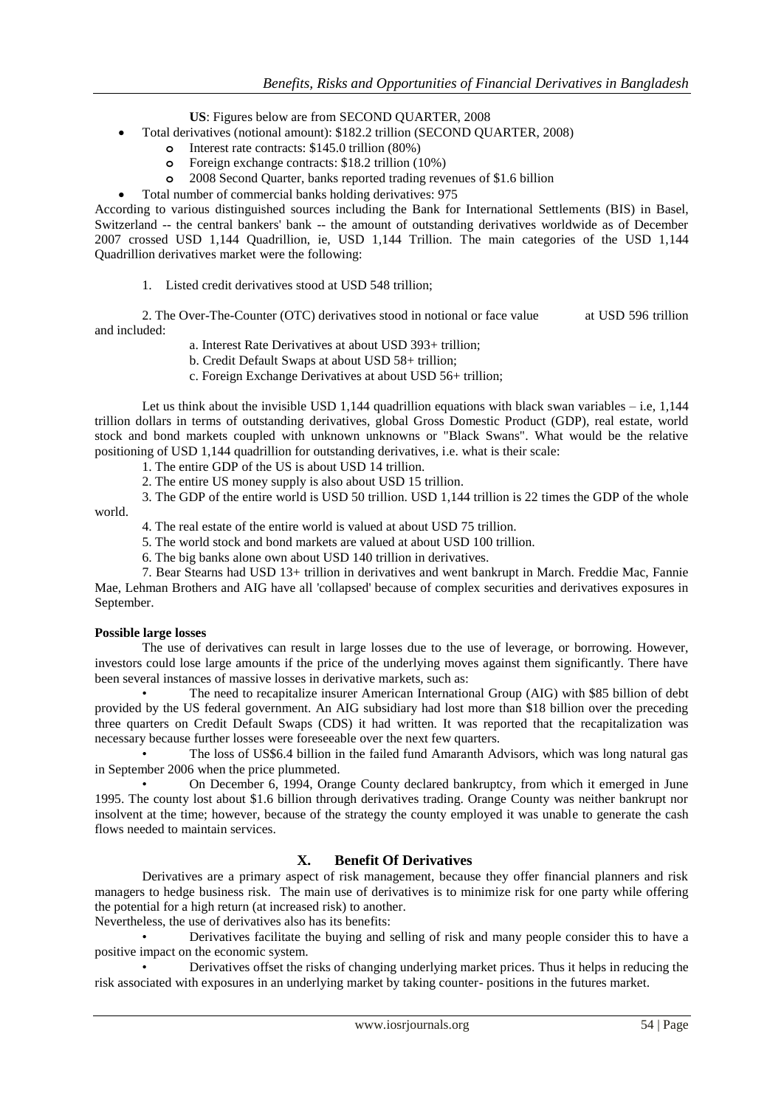**US**: Figures below are from SECOND QUARTER, 2008

- Total derivatives (notional amount): \$182.2 trillion (SECOND QUARTER, 2008)
	- **o** Interest rate contracts: \$145.0 trillion (80%)
	- **o** Foreign exchange contracts: \$18.2 trillion (10%)
	- **o** 2008 Second Quarter, banks reported trading revenues of \$1.6 billion
	- Total number of commercial banks holding derivatives: 975

According to various distinguished sources including the Bank for International Settlements (BIS) in Basel, Switzerland -- the central bankers' bank -- the amount of outstanding derivatives worldwide as of December 2007 crossed USD 1,144 Quadrillion, ie, USD 1,144 Trillion. The main categories of the USD 1,144 Quadrillion derivatives market were the following:

1. Listed credit derivatives stood at USD 548 trillion;

2. The Over-The-Counter (OTC) derivatives stood in notional or face value at USD 596 trillion and included:

a. Interest Rate Derivatives at about USD 393+ trillion;

- b. Credit Default Swaps at about USD 58+ trillion;
- c. Foreign Exchange Derivatives at about USD 56+ trillion;

Let us think about the invisible USD 1,144 quadrillion equations with black swan variables  $-$  i.e, 1,144 trillion dollars in terms of outstanding derivatives, global Gross Domestic Product (GDP), real estate, world stock and bond markets coupled with unknown unknowns or "Black Swans". What would be the relative positioning of USD 1,144 quadrillion for outstanding derivatives, i.e. what is their scale:

1. The entire GDP of the US is about USD 14 trillion.

2. The entire US money supply is also about USD 15 trillion.

3. The GDP of the entire world is USD 50 trillion. USD 1,144 trillion is 22 times the GDP of the whole world.

4. The real estate of the entire world is valued at about USD 75 trillion.

- 5. The world stock and bond markets are valued at about USD 100 trillion.
- 6. The big banks alone own about USD 140 trillion in derivatives.

7. Bear Stearns had USD 13+ trillion in derivatives and went bankrupt in March. Freddie Mac, Fannie Mae, Lehman Brothers and AIG have all 'collapsed' because of complex securities and derivatives exposures in September.

#### **Possible large losses**

The use of derivatives can result in large losses due to the use of leverage, or borrowing. However, investors could lose large amounts if the price of the underlying moves against them significantly. There have been several instances of massive losses in derivative markets, such as:

• The need to recapitalize insurer American International Group (AIG) with \$85 billion of debt provided by the US federal government. An AIG subsidiary had lost more than \$18 billion over the preceding three quarters on Credit Default Swaps (CDS) it had written. It was reported that the recapitalization was necessary because further losses were foreseeable over the next few quarters.

• The loss of US\$6.4 billion in the failed fund Amaranth Advisors, which was long natural gas in September 2006 when the price plummeted.

• On December 6, 1994, Orange County declared bankruptcy, from which it emerged in June 1995. The county lost about \$1.6 billion through derivatives trading. Orange County was neither bankrupt nor insolvent at the time; however, because of the strategy the county employed it was unable to generate the cash flows needed to maintain services.

## **X. Benefit Of Derivatives**

Derivatives are a primary aspect of risk management, because they offer financial planners and risk managers to hedge business risk. The main use of derivatives is to minimize risk for one party while offering the potential for a high return (at increased risk) to another.

Nevertheless, the use of derivatives also has its benefits:

• Derivatives facilitate the buying and selling of risk and many people consider this to have a positive impact on the economic system.

• Derivatives offset the risks of changing underlying market prices. Thus it helps in reducing the risk associated with exposures in an underlying market by taking counter- positions in the futures market.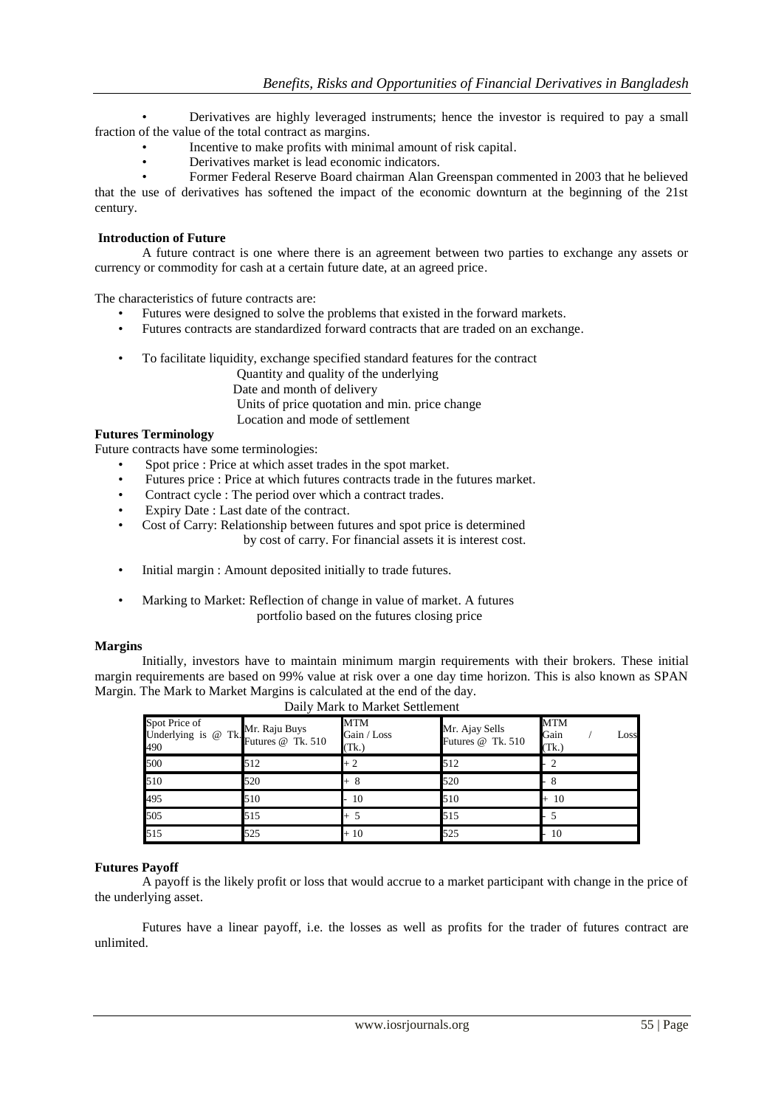• Derivatives are highly leveraged instruments; hence the investor is required to pay a small fraction of the value of the total contract as margins.

- Incentive to make profits with minimal amount of risk capital.
- Derivatives market is lead economic indicators.
- Former Federal Reserve Board chairman Alan Greenspan commented in 2003 that he believed

that the use of derivatives has softened the impact of the economic downturn at the beginning of the 21st century.

#### **Introduction of Future**

A future contract is one where there is an agreement between two parties to exchange any assets or currency or commodity for cash at a certain future date, at an agreed price.

The characteristics of future contracts are:

- Futures were designed to solve the problems that existed in the forward markets.
- Futures contracts are standardized forward contracts that are traded on an exchange.
- To facilitate liquidity, exchange specified standard features for the contract

Quantity and quality of the underlying Date and month of delivery Units of price quotation and min. price change Location and mode of settlement

#### **Futures Terminology**

Future contracts have some terminologies:

- Spot price : Price at which asset trades in the spot market.
- Futures price : Price at which futures contracts trade in the futures market.
- Contract cycle : The period over which a contract trades.
- Expiry Date : Last date of the contract.
	- Cost of Carry: Relationship between futures and spot price is determined

by cost of carry. For financial assets it is interest cost.

- Initial margin : Amount deposited initially to trade futures.
- Marking to Market: Reflection of change in value of market. A futures portfolio based on the futures closing price

#### **Margins**

Initially, investors have to maintain minimum margin requirements with their brokers. These initial margin requirements are based on 99% value at risk over a one day time horizon. This is also known as SPAN Margin. The Mark to Market Margins is calculated at the end of the day.

| Spot Price of<br>Underlying is @<br>490 | Mr. Raju Buys<br>$\angle$ Tk. Futures @ Tk. 510 | <b>MTM</b><br>Gain / Loss<br>(Tk.) | Mr. Ajay Sells<br>Futures @ Tk. 510 | <b>MTM</b><br>Gain<br>Loss<br>(Tk.) |  |  |  |
|-----------------------------------------|-------------------------------------------------|------------------------------------|-------------------------------------|-------------------------------------|--|--|--|
| 500                                     | 512                                             | $+2$                               | 512                                 |                                     |  |  |  |
| 510                                     | 520                                             | + 8                                | 520                                 |                                     |  |  |  |
| 495                                     | 510                                             | 10                                 | 510                                 | $+10$                               |  |  |  |
| 505                                     | 515                                             |                                    | 515                                 |                                     |  |  |  |
| 515                                     | 525                                             | $+10$                              | 525                                 | 10                                  |  |  |  |

## Daily Mark to Market Settlement

#### **Futures Payoff**

A payoff is the likely profit or loss that would accrue to a market participant with change in the price of the underlying asset.

Futures have a linear payoff, i.e. the losses as well as profits for the trader of futures contract are unlimited.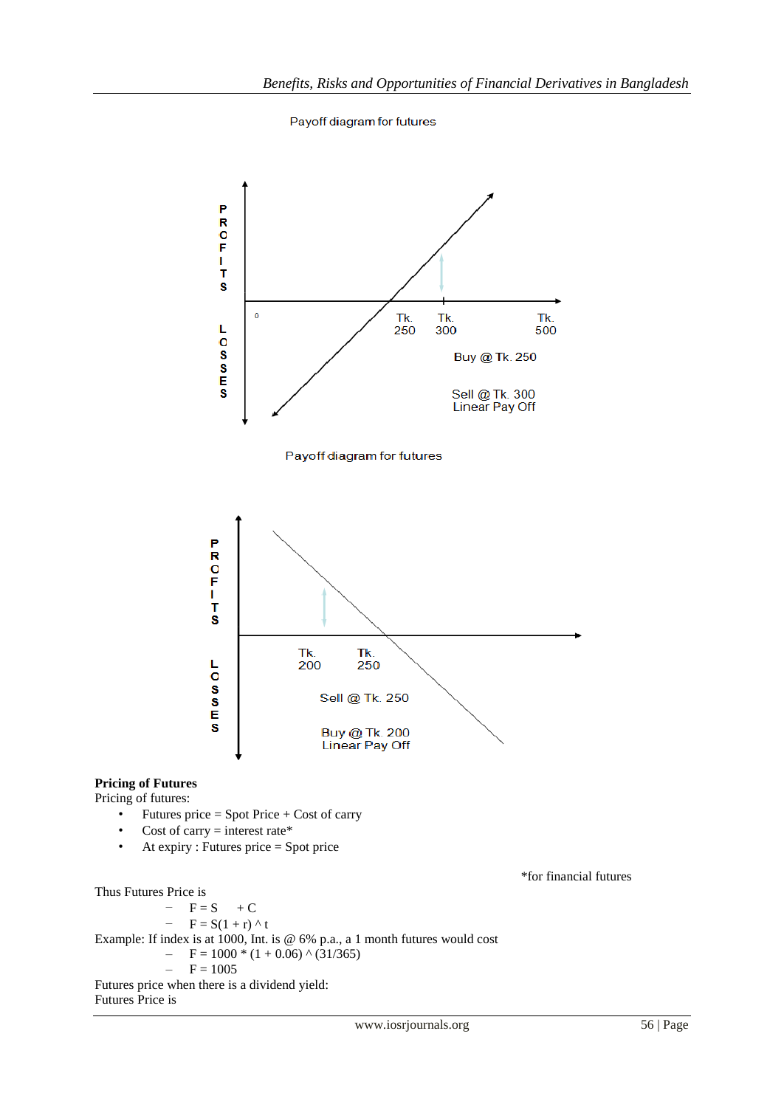Payoff diagram for futures



#### **Pricing of Futures**

Pricing of futures:

- Futures price  $=$  Spot Price  $+$  Cost of carry
- Cost of carry  $=$  interest rate\*
- At expiry : Futures price = Spot price

\*for financial futures

Thus Futures Price is

 $F = S + C$  $- F = S(1+r)$  ^ t Example: If index is at 1000, Int. is @ 6% p.a., a 1 month futures would cost  $- F = 1000 * (1 + 0.06) * (31/365)$  $- F = 1005$ Futures price when there is a dividend yield: Futures Price is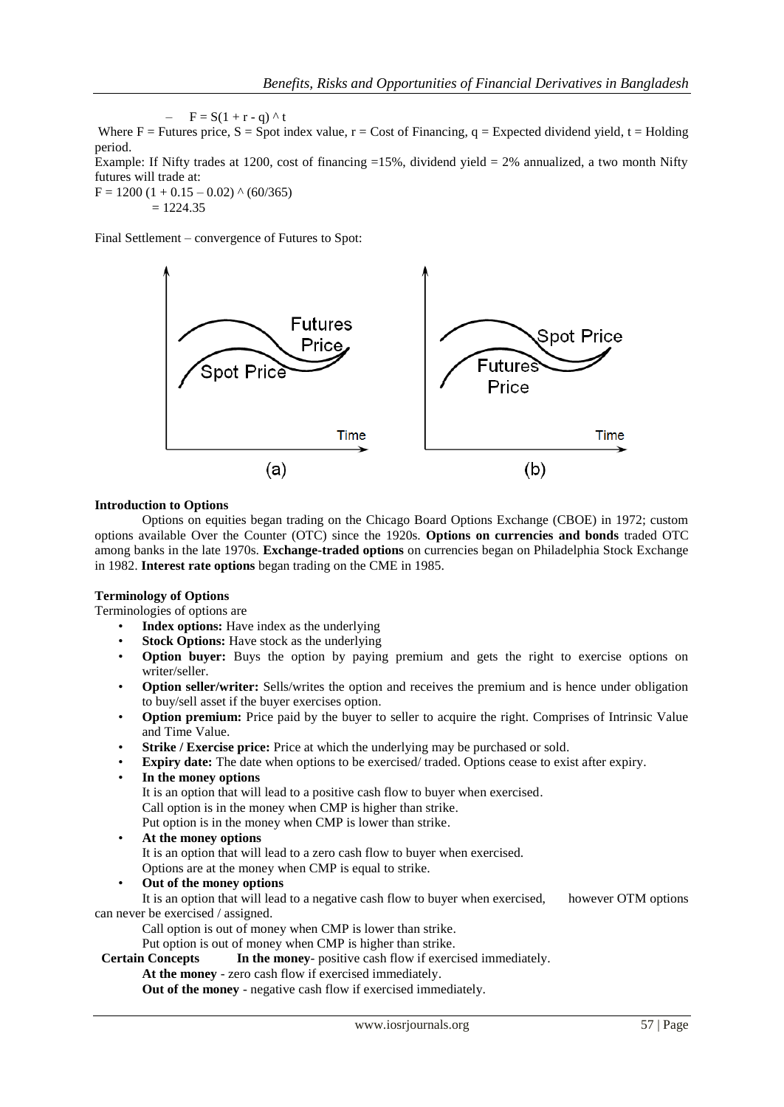$F = S(1 + r - q)$  ^ t Where  $F =$  Futures price,  $S =$  Spot index value,  $r =$  Cost of Financing,  $q =$  Expected dividend yield,  $t =$  Holding period. Example: If Nifty trades at 1200, cost of financing  $=15\%$ , dividend yield  $= 2\%$  annualized, a two month Nifty

futures will trade at:  $F = 1200 (1 + 0.15 - 0.02)$  ^ (60/365)  $= 1224.35$ 

Final Settlement – convergence of Futures to Spot:



#### **Introduction to Options**

Options on equities began trading on the Chicago Board Options Exchange (CBOE) in 1972; custom options available Over the Counter (OTC) since the 1920s. **Options on currencies and bonds** traded OTC among banks in the late 1970s. **Exchange-traded options** on currencies began on Philadelphia Stock Exchange in 1982. **Interest rate options** began trading on the CME in 1985.

## **Terminology of Options**

Terminologies of options are

- **Index options:** Have index as the underlying
- **Stock Options:** Have stock as the underlying
- **Option buyer:** Buys the option by paying premium and gets the right to exercise options on writer/seller.
- **Option seller/writer:** Sells/writes the option and receives the premium and is hence under obligation to buy/sell asset if the buyer exercises option.
- **Option premium:** Price paid by the buyer to seller to acquire the right. Comprises of Intrinsic Value and Time Value.
- **Strike / Exercise price:** Price at which the underlying may be purchased or sold.
- **Expiry date:** The date when options to be exercised/ traded. Options cease to exist after expiry.
- **In the money options**

It is an option that will lead to a positive cash flow to buyer when exercised.

Call option is in the money when CMP is higher than strike.

Put option is in the money when CMP is lower than strike.

• **At the money options**

It is an option that will lead to a zero cash flow to buyer when exercised. Options are at the money when CMP is equal to strike.

• **Out of the money options**

It is an option that will lead to a negative cash flow to buyer when exercised, however OTM options can never be exercised / assigned.

Call option is out of money when CMP is lower than strike.

Put option is out of money when CMP is higher than strike.

 **Certain Concepts In the money**- positive cash flow if exercised immediately.

**At the money** - zero cash flow if exercised immediately.

**Out of the money** - negative cash flow if exercised immediately.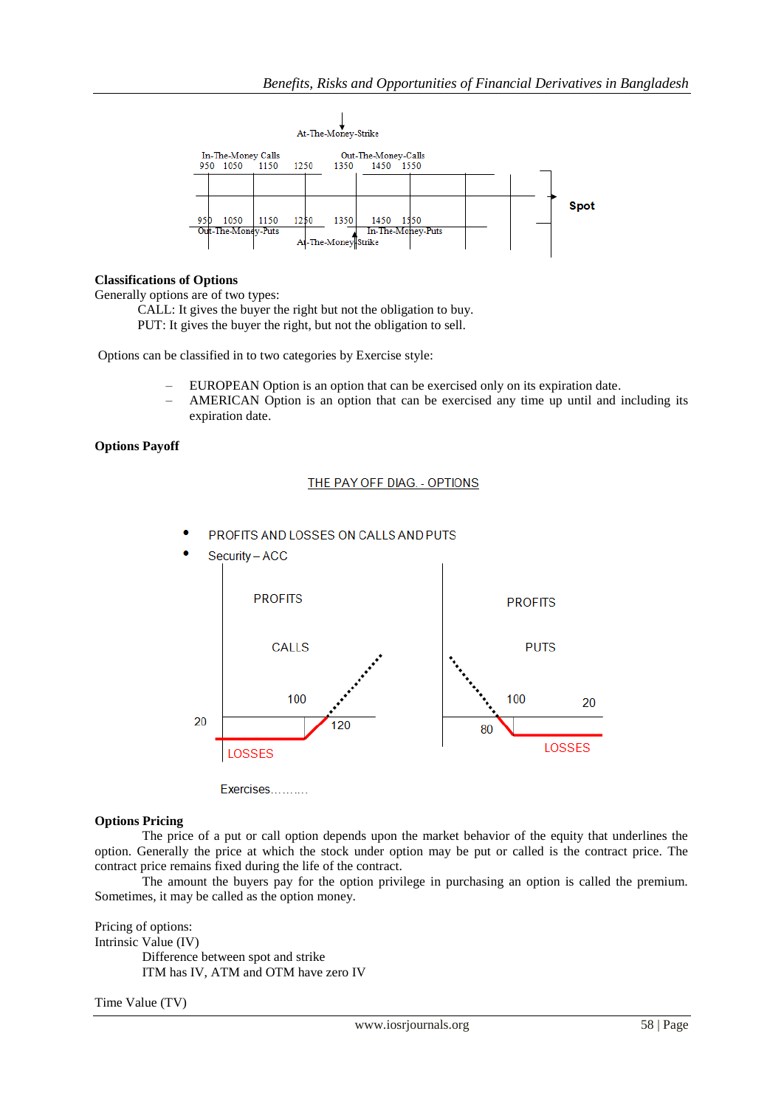

## **Classifications of Options**

Generally options are of two types:

 CALL: It gives the buyer the right but not the obligation to buy. PUT: It gives the buyer the right, but not the obligation to sell.

Options can be classified in to two categories by Exercise style:

- EUROPEAN Option is an option that can be exercised only on its expiration date.
- AMERICAN Option is an option that can be exercised any time up until and including its expiration date.

## **Options Payoff**

#### THE PAY OFF DIAG. - OPTIONS



× PROFITS AND LOSSES ON CALLS AND PUTS

Exercises..........

#### **Options Pricing**

The price of a put or call option depends upon the market behavior of the equity that underlines the option. Generally the price at which the stock under option may be put or called is the contract price. The contract price remains fixed during the life of the contract.

The amount the buyers pay for the option privilege in purchasing an option is called the premium. Sometimes, it may be called as the option money.

Pricing of options: Intrinsic Value (IV) Difference between spot and strike ITM has IV, ATM and OTM have zero IV

Time Value (TV)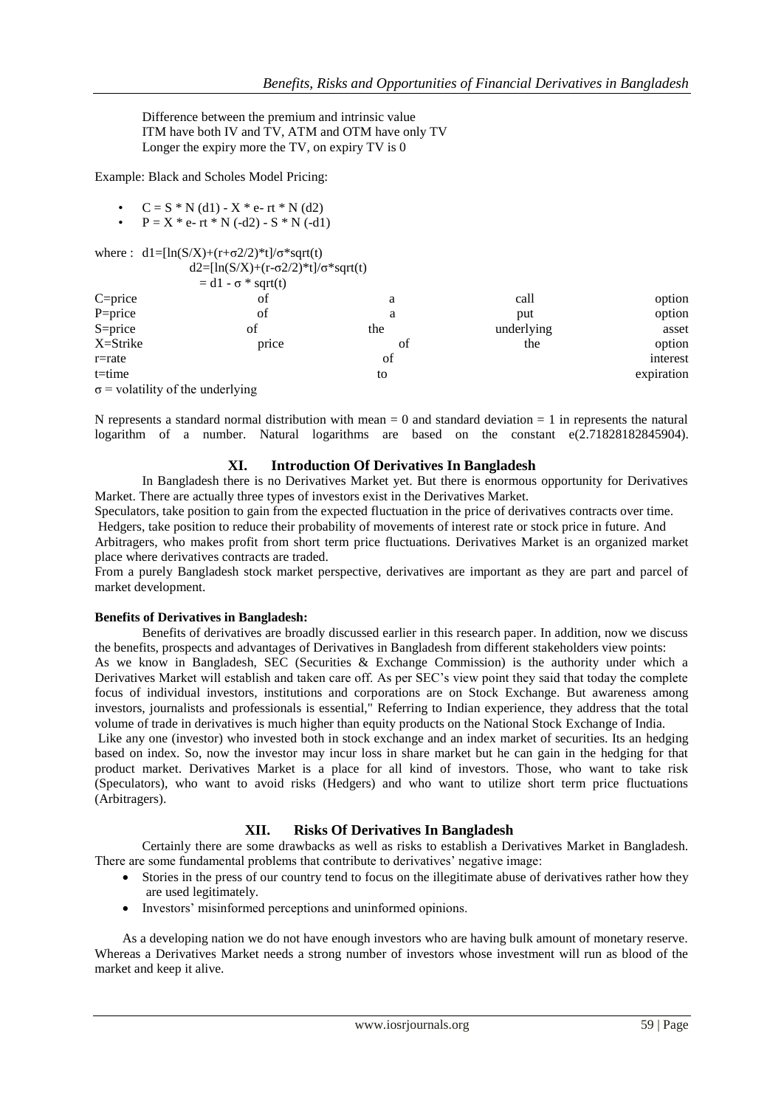Difference between the premium and intrinsic value ITM have both IV and TV, ATM and OTM have only TV Longer the expiry more the TV, on expiry TV is 0

Example: Black and Scholes Model Pricing:

- $C = S * N(d1) X * e- rt * N(d2)$
- $P = X * e rt * N (-d2) S * N (-d1)$

where :  $d1=[ln(S/X)+(r+\sigma^2/2)*t]/\sigma^*sqrt(t)$ 

| $d2=[ln(S/X)+(r-\sigma^2/2)*t]/\sigma^*sqrt(t)$ |                           |     |            |            |
|-------------------------------------------------|---------------------------|-----|------------|------------|
|                                                 | $= d1 - \sigma * sqrt(t)$ |     |            |            |
| $C = price$                                     | of                        | a   | call       | option     |
| P=price                                         | οf                        | a   | put        | option     |
| $S = price$                                     | of                        | the | underlying | asset      |
| X=Strike                                        | price                     | Οt  | the        | option     |
| $r = rate$                                      |                           | of  |            | interest   |
| $t = time$                                      |                           | to  |            | expiration |
| $\sigma$ = volatility of the underlying         |                           |     |            |            |

N represents a standard normal distribution with mean  $= 0$  and standard deviation  $= 1$  in represents the natural logarithm of a number. Natural logarithms are based on the constant e(2.71828182845904).

#### **XI. Introduction Of Derivatives In Bangladesh**

In Bangladesh there is no Derivatives Market yet. But there is enormous opportunity for Derivatives Market. There are actually three types of investors exist in the Derivatives Market.

Speculators, take position to gain from the expected fluctuation in the price of derivatives contracts over time. Hedgers, take position to reduce their probability of movements of interest rate or stock price in future. And

Arbitragers, who makes profit from short term price fluctuations. Derivatives Market is an organized market place where derivatives contracts are traded.

From a purely Bangladesh stock market perspective, derivatives are important as they are part and parcel of market development.

#### **Benefits of Derivatives in Bangladesh:**

Benefits of derivatives are broadly discussed earlier in this research paper. In addition, now we discuss the benefits, prospects and advantages of Derivatives in Bangladesh from different stakeholders view points:

As we know in Bangladesh, SEC (Securities & Exchange Commission) is the authority under which a Derivatives Market will establish and taken care off. As per SEC's view point they said that today the complete focus of individual investors, institutions and corporations are on Stock Exchange. But awareness among investors, journalists and professionals is essential," Referring to Indian experience, they address that the total volume of trade in derivatives is much higher than equity products on the National Stock Exchange of India.

Like any one (investor) who invested both in stock exchange and an index market of securities. Its an hedging based on index. So, now the investor may incur loss in share market but he can gain in the hedging for that product market. Derivatives Market is a place for all kind of investors. Those, who want to take risk (Speculators), who want to avoid risks (Hedgers) and who want to utilize short term price fluctuations (Arbitragers).

## **XII. Risks Of Derivatives In Bangladesh**

Certainly there are some drawbacks as well as risks to establish a Derivatives Market in Bangladesh. There are some fundamental problems that contribute to derivatives' negative image:

- Stories in the press of our country tend to focus on the illegitimate abuse of derivatives rather how they are used legitimately.
- Investors' misinformed perceptions and uninformed opinions.

As a developing nation we do not have enough investors who are having bulk amount of monetary reserve. Whereas a Derivatives Market needs a strong number of investors whose investment will run as blood of the market and keep it alive.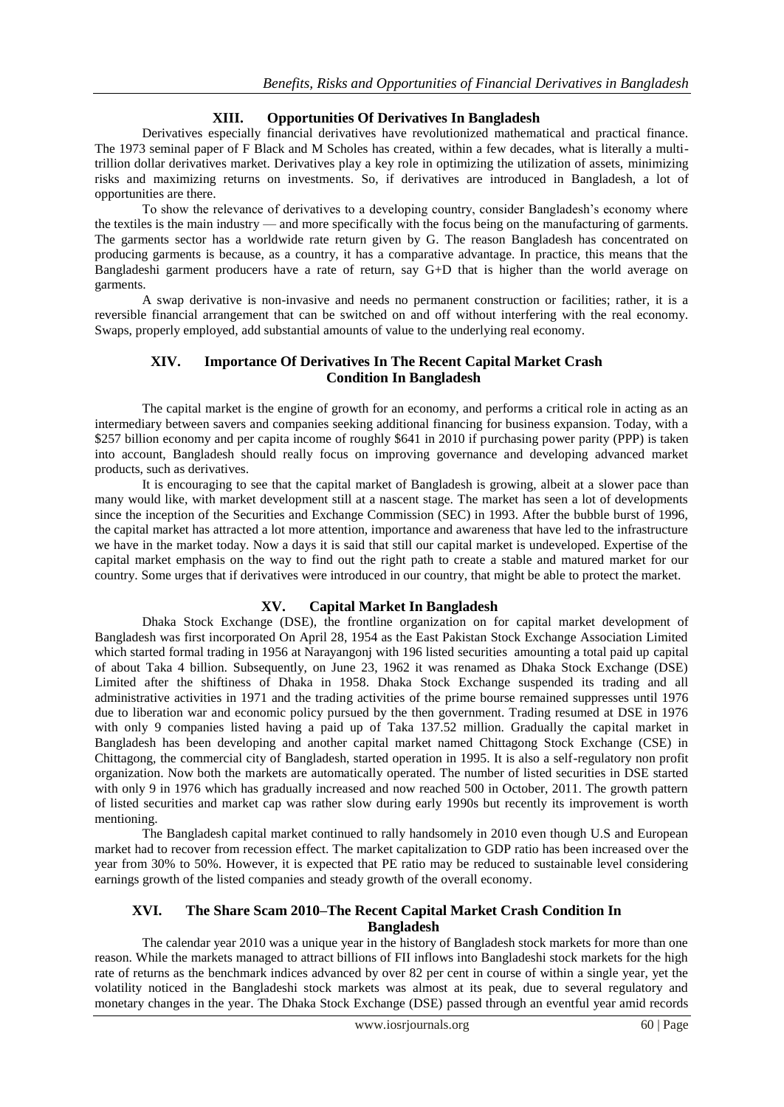# **XIII. Opportunities Of Derivatives In Bangladesh**

Derivatives especially financial derivatives have revolutionized mathematical and practical finance. The 1973 seminal paper of F Black and M Scholes has created, within a few decades, what is literally a multitrillion dollar derivatives market. Derivatives play a key role in optimizing the utilization of assets, minimizing risks and maximizing returns on investments. So, if derivatives are introduced in Bangladesh, a lot of opportunities are there.

To show the relevance of derivatives to a developing country, consider Bangladesh's economy where the textiles is the main industry — and more specifically with the focus being on the manufacturing of garments. The garments sector has a worldwide rate return given by G. The reason Bangladesh has concentrated on producing garments is because, as a country, it has a comparative advantage. In practice, this means that the Bangladeshi garment producers have a rate of return, say G+D that is higher than the world average on garments.

A swap derivative is non-invasive and needs no permanent construction or facilities; rather, it is a reversible financial arrangement that can be switched on and off without interfering with the real economy. Swaps, properly employed, add substantial amounts of value to the underlying real economy.

#### **XIV. Importance Of Derivatives In The Recent Capital Market Crash Condition In Bangladesh**

The capital market is the engine of growth for an economy, and performs a critical role in acting as an intermediary between savers and companies seeking additional financing for business expansion. Today, with a \$257 billion economy and per capita income of roughly \$641 in 2010 if purchasing power parity (PPP) is taken into account, Bangladesh should really focus on improving governance and developing advanced market products, such as derivatives.

It is encouraging to see that the capital market of Bangladesh is growing, albeit at a slower pace than many would like, with market development still at a nascent stage. The market has seen a lot of developments since the inception of the Securities and Exchange Commission (SEC) in 1993. After the bubble burst of 1996, the capital market has attracted a lot more attention, importance and awareness that have led to the infrastructure we have in the market today. Now a days it is said that still our capital market is undeveloped. Expertise of the capital market emphasis on the way to find out the right path to create a stable and matured market for our country. Some urges that if derivatives were introduced in our country, that might be able to protect the market.

## **XV. Capital Market In Bangladesh**

Dhaka Stock Exchange (DSE), the frontline organization on for capital market development of Bangladesh was first incorporated On April 28, 1954 as the East Pakistan Stock Exchange Association Limited which started formal trading in 1956 at Narayangonj with 196 listed securities amounting a total paid up capital of about Taka 4 billion. Subsequently, on June 23, 1962 it was renamed as Dhaka Stock Exchange (DSE) Limited after the shiftiness of Dhaka in 1958. Dhaka Stock Exchange suspended its trading and all administrative activities in 1971 and the trading activities of the prime bourse remained suppresses until 1976 due to liberation war and economic policy pursued by the then government. Trading resumed at DSE in 1976 with only 9 companies listed having a paid up of Taka 137.52 million. Gradually the capital market in Bangladesh has been developing and another capital market named Chittagong Stock Exchange (CSE) in Chittagong, the commercial city of Bangladesh, started operation in 1995. It is also a self-regulatory non profit organization. Now both the markets are automatically operated. The number of listed securities in DSE started with only 9 in 1976 which has gradually increased and now reached 500 in October, 2011. The growth pattern of listed securities and market cap was rather slow during early 1990s but recently its improvement is worth mentioning.

The Bangladesh capital market continued to rally handsomely in 2010 even though U.S and European market had to recover from recession effect. The market capitalization to GDP ratio has been increased over the year from 30% to 50%. However, it is expected that PE ratio may be reduced to sustainable level considering earnings growth of the listed companies and steady growth of the overall economy.

# **XVI. The Share Scam 2010–The Recent Capital Market Crash Condition In Bangladesh**

The calendar year 2010 was a unique year in the history of Bangladesh stock markets for more than one reason. While the markets managed to attract billions of FII inflows into Bangladeshi stock markets for the high rate of returns as the benchmark indices advanced by over 82 per cent in course of within a single year, yet the volatility noticed in the Bangladeshi stock markets was almost at its peak, due to several regulatory and monetary changes in the year. The Dhaka Stock Exchange (DSE) passed through an eventful year amid records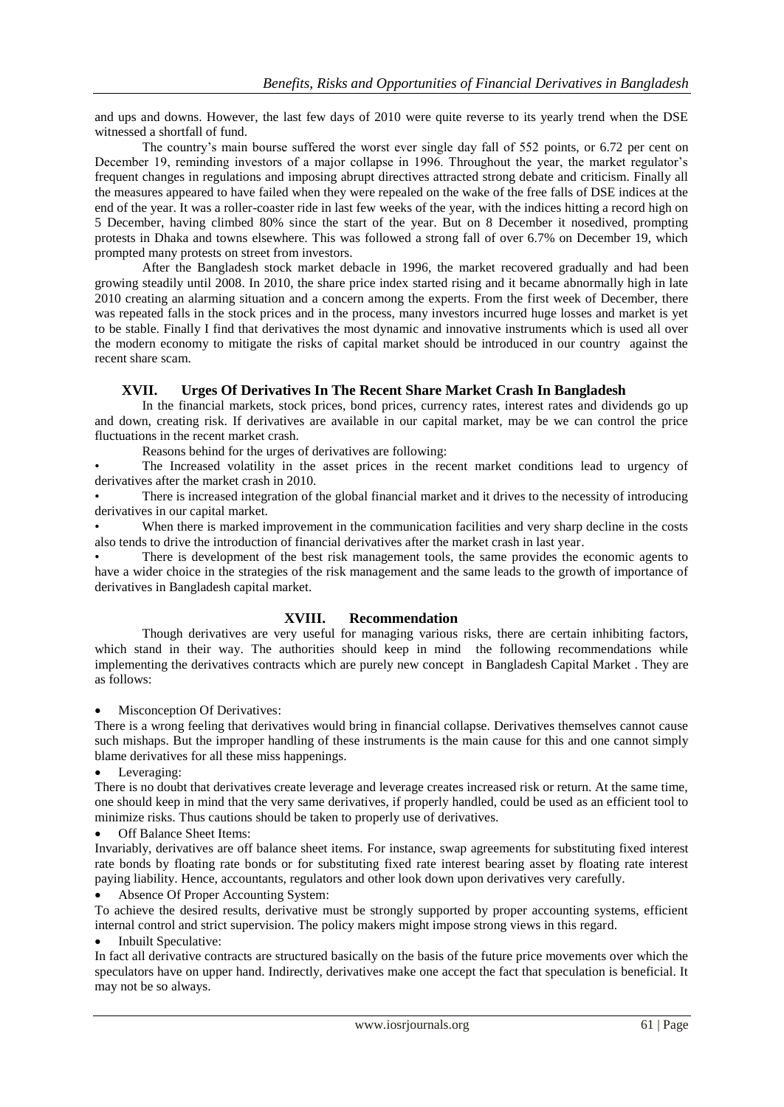and ups and downs. However, the last few days of 2010 were quite reverse to its yearly trend when the DSE witnessed a shortfall of fund.

The country's main bourse suffered the worst ever single day fall of 552 points, or 6.72 per cent on December 19, reminding investors of a major collapse in 1996. Throughout the year, the market regulator's frequent changes in regulations and imposing abrupt directives attracted strong debate and criticism. Finally all the measures appeared to have failed when they were repealed on the wake of the free falls of DSE indices at the end of the year. It was a roller-coaster ride in last few weeks of the year, with the indices hitting a record high on 5 December, having climbed 80% since the start of the year. But on 8 December it nosedived, prompting protests in Dhaka and towns elsewhere. This was followed a strong fall of over 6.7% on December 19, which prompted many protests on street from investors.

After the Bangladesh stock market debacle in 1996, the market recovered gradually and had been growing steadily until 2008. In 2010, the share price index started rising and it became abnormally high in late 2010 creating an alarming situation and a concern among the experts. From the first week of December, there was repeated falls in the stock prices and in the process, many investors incurred huge losses and market is yet to be stable. Finally I find that derivatives the most dynamic and innovative instruments which is used all over the modern economy to mitigate the risks of capital market should be introduced in our country against the recent share scam.

# **XVII. Urges Of Derivatives In The Recent Share Market Crash In Bangladesh**

In the financial markets, stock prices, bond prices, currency rates, interest rates and dividends go up and down, creating risk. If derivatives are available in our capital market, may be we can control the price fluctuations in the recent market crash.

Reasons behind for the urges of derivatives are following:

The Increased volatility in the asset prices in the recent market conditions lead to urgency of derivatives after the market crash in 2010.

There is increased integration of the global financial market and it drives to the necessity of introducing derivatives in our capital market.

When there is marked improvement in the communication facilities and very sharp decline in the costs also tends to drive the introduction of financial derivatives after the market crash in last year.

There is development of the best risk management tools, the same provides the economic agents to have a wider choice in the strategies of the risk management and the same leads to the growth of importance of derivatives in Bangladesh capital market.

## **XVIII. Recommendation**

Though derivatives are very useful for managing various risks, there are certain inhibiting factors, which stand in their way. The authorities should keep in mind the following recommendations while implementing the derivatives contracts which are purely new concept in Bangladesh Capital Market . They are as follows:

Misconception Of Derivatives:

There is a wrong feeling that derivatives would bring in financial collapse. Derivatives themselves cannot cause such mishaps. But the improper handling of these instruments is the main cause for this and one cannot simply blame derivatives for all these miss happenings.

Leveraging:

There is no doubt that derivatives create leverage and leverage creates increased risk or return. At the same time, one should keep in mind that the very same derivatives, if properly handled, could be used as an efficient tool to minimize risks. Thus cautions should be taken to properly use of derivatives.

Off Balance Sheet Items:

Invariably, derivatives are off balance sheet items. For instance, swap agreements for substituting fixed interest rate bonds by floating rate bonds or for substituting fixed rate interest bearing asset by floating rate interest paying liability. Hence, accountants, regulators and other look down upon derivatives very carefully.

Absence Of Proper Accounting System:

To achieve the desired results, derivative must be strongly supported by proper accounting systems, efficient internal control and strict supervision. The policy makers might impose strong views in this regard.

# Inbuilt Speculative:

In fact all derivative contracts are structured basically on the basis of the future price movements over which the speculators have on upper hand. Indirectly, derivatives make one accept the fact that speculation is beneficial. It may not be so always.